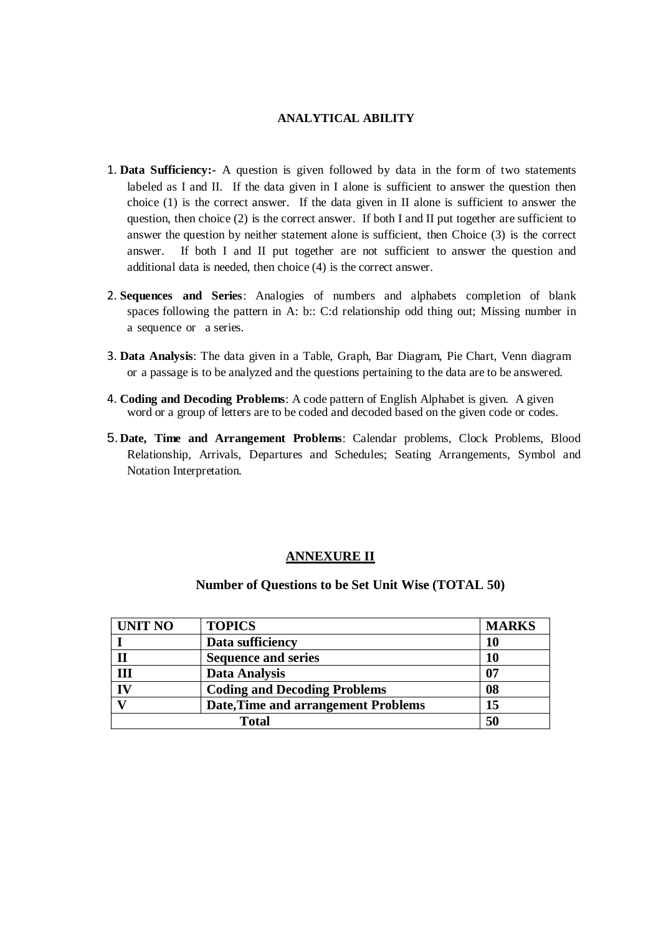## **ANALYTICAL ABILITY**

- 1. **Data Sufficiency:-** A question is given followed by data in the form of two statements labeled as I and II. If the data given in I alone is sufficient to answer the question then choice (1) is the correct answer. If the data given in II alone is sufficient to answer the question, then choice  $(2)$  is the correct answer. If both I and II put together are sufficient to answer the question by neither statement alone is sufficient, then Choice (3) is the correct answer. If both I and II put together are not sufficient to answer the question and additional data is needed, then choice (4) is the correct answer.
- 2. **Sequences and Series**: Analogies of numbers and alphabets completion of blank spaces following the pattern in A: b:: C:d relationship odd thing out; Missing number in a sequence or a series.
- 3. **Data Analysis**: The data given in a Table, Graph, Bar Diagram, Pie Chart, Venn diagram or a passage is to be analyzed and the questions pertaining to the data are to be answered.
- 4. **Coding and Decoding Problems**: A code pattern of English Alphabet is given. A given word or a group of letters are to be coded and decoded based on the given code or codes.
- 5.**Date, Time and Arrangement Problems**: Calendar problems, Clock Problems, Blood Relationship, Arrivals, Departures and Schedules; Seating Arrangements, Symbol and Notation Interpretation.

## **ANNEXURE II**

## **Number of Questions to be Set Unit Wise (TOTAL 50)**

| <b>UNIT NO</b>          | <b>TOPICS</b>                              | <b>MARKS</b> |
|-------------------------|--------------------------------------------|--------------|
|                         | Data sufficiency                           | 10           |
|                         | <b>Sequence and series</b>                 | 10           |
| III                     | <b>Data Analysis</b>                       | 07           |
| $\overline{\mathbf{I}}$ | <b>Coding and Decoding Problems</b>        | 08           |
|                         | <b>Date, Time and arrangement Problems</b> | 15           |
|                         | 50                                         |              |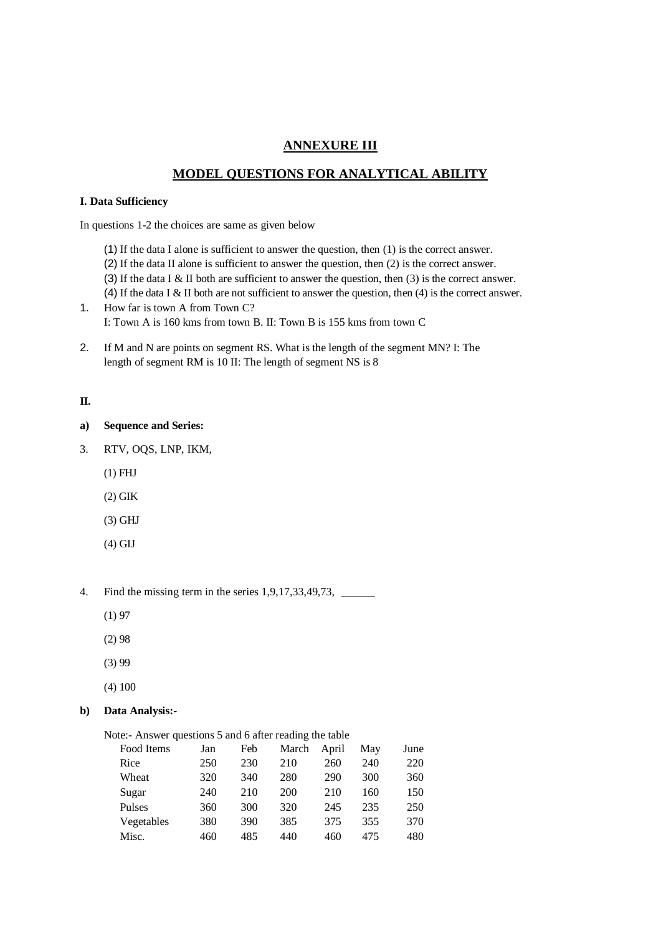## **ANNEXURE III**

# **MODEL QUESTIONS FOR ANALYTICAL ABILITY**

### **I. Data Sufficiency**

In questions 1-2 the choices are same as given below

- (1) If the data I alone is sufficient to answer the question, then (1) is the correct answer.
- (2) If the data II alone is sufficient to answer the question, then (2) is the correct answer.
- (3) If the data I & II both are sufficient to answer the question, then (3) is the correct answer.
- (4) If the data I & II both are not sufficient to answer the question, then (4) is the correct answer.
- 1. How far is town A from Town C? I: Town A is 160 kms from town B. II: Town B is 155 kms from town C
- 2. If M and N are points on segment RS. What is the length of the segment MN? I: The length of segment RM is 10 II: The length of segment NS is 8

### **II.**

- **a) Sequence and Series:**
- 3. RTV, OQS, LNP, IKM,
	- (1) FHJ
	- (2) GIK
	- (3) GHJ
	- (4) GIJ

4. Find the missing term in the series 1,9,17,33,49,73, \_\_\_\_\_\_\_\_\_\_\_\_\_\_\_\_\_\_\_\_\_\_\_\_

- (1) 97
- (2) 98
- (3) 99
- (4) 100

## **b) Data Analysis:-**

Note:- Answer questions 5 and 6 after reading the table

| Food Items | Jan | Feb | March      | April | May | June |
|------------|-----|-----|------------|-------|-----|------|
| Rice       | 250 | 230 | 210        | 260   | 240 | 220  |
| Wheat      | 320 | 340 | 280        | 290   | 300 | 360  |
| Sugar      | 240 | 210 | <b>200</b> | 210   | 160 | 150  |
| Pulses     | 360 | 300 | 320        | 245   | 235 | 250  |
| Vegetables | 380 | 390 | 385        | 375   | 355 | 370  |
| Misc.      | 460 | 485 | 440        | 460   | 475 | 480  |
|            |     |     |            |       |     |      |